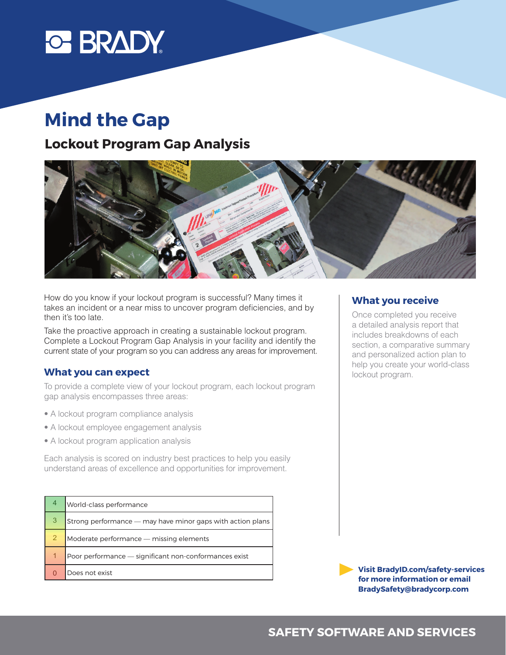

# **Mind the Gap**

## **Lockout Program Gap Analysis**



How do you know if your lockout program is successful? Many times it takes an incident or a near miss to uncover program deficiencies, and by then it's too late.  $S$ ample Company A Eva $\sim$  Scott Stone Company A  $\sim$  Scott Stone Company  $\sim$  Scott Stone Company  $\sim$  Scott Stone Company  $\sim$  Scott Stone Company  $\sim$  Scott Stone Company and Scott Stone Company and Scott Stone Company

Take the proactive approach in creating a sustainable lockout program.<br>Contact is a localised Program Contact in the sustainable lockout program. Complete a Lockout Program Gap Analysis in your facility and identify the current state of your program so you can address any areas for improvement.

### **What you can expect analysis in the analysis four world a comprehensive analysis for the total effective** in the total effective and the total effectiveness of the total effectiveness of the total effectiveness of the t

To provide a complete view of your lockout program, each lockout program gap analysis encompasses three areas: The interview section as a group of diverse employees employees employees Program. The three focus areas were complianted to the 1910 of the 1910 of the 1910 of the 1910 of the 1910 of the 1910 of the 1910 of the 1910 of the 1910 of the 1910 of the 1910 of the 1910 of the 1910 of the 1910 of the lo provide a complete view of your lockout program, each lockout program and provided a complete view of your

- A lockout program compliance analysis **appropriately out into the field.** This report is different performance areas, Compliance, Compliance areas, Compliance, Compliance, Compliance, Compliance, Compliance, Compliance, looking to gauge the level of understanding in key areas. The observation section included a field review to verify specific aspects of the
- A lockout employee engagement analysis
	- A lockout program application analysis

Each analysis is scored on industry best practices to help you easily **Example 20** understand areas of excellence and opportunities for improvement.

| 4 | World-class performance                                      |  |
|---|--------------------------------------------------------------|--|
| 3 | Strong performance $-$ may have minor gaps with action plans |  |
|   | Moderate performance — missing elements                      |  |
|   | Poor performance - significant non-conformances exist        |  |
|   | Does not exist                                               |  |

#### **What you receive**

Once completed you receive a detailed analysis report that includes breakdowns of each section, a comparative summary and personalized action plan to help you create your world-class lockout program.

**for more information or email Visit BradyID.com/safety-services BradySafety@bradycorp.com**

# **SAFETY SOFTWARE AND SERVICES** 2.59 I **2.333 I 2.334 I 2.335 I 2.335 I 2.335 I 2.335 I 2.335 I 2.335 I 2.335 I 2.335 I 2.335 I 2.335 I 2.335 I 2.335 I 2.335 I 2.335 I 2.335 I 2.335 I 2.335 I 2.335 I 2.335 I 2.335 I 2.335 I 2.335 I 2.335 I 2.335 I 2.335**

INTERVIEW OBSERVATION CONTINUES IN A 1990 OBSERVATION